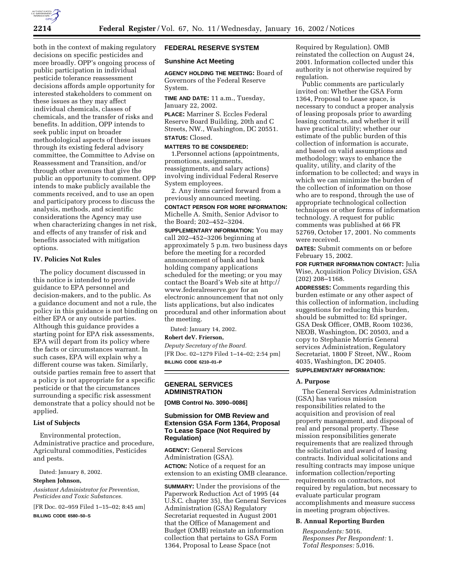

both in the context of making regulatory decisions on specific pesticides and more broadly. OPP's ongoing process of public participation in individual pesticide tolerance reassessment decisions affords ample opportunity for interested stakeholders to comment on these issues as they may affect individual chemicals, classes of chemicals, and the transfer of risks and benefits. In addition, OPP intends to seek public input on broader methodological aspects of these issues through its existing federal advisory committee, the Committee to Advise on Reassessment and Transition, and/or through other avenues that give the public an opportunity to comment. OPP intends to make publicly available the comments received, and to use an open and participatory process to discuss the analysis, methods, and scientific considerations the Agency may use when characterizing changes in net risk, and effects of any transfer of risk and benefits associated with mitigation options.

### **IV. Policies Not Rules**

The policy document discussed in this notice is intended to provide guidance to EPA personnel and decision-makers, and to the public. As a guidance document and not a rule, the policy in this guidance is not binding on either EPA or any outside parties. Although this guidance provides a starting point for EPA risk assessments, EPA will depart from its policy where the facts or circumstances warrant. In such cases, EPA will explain why a different course was taken. Similarly, outside parties remain free to assert that a policy is not appropriate for a specific pesticide or that the circumstances surrounding a specific risk assessment demonstrate that a policy should not be applied.

### **List of Subjects**

Environmental protection, Administrative practice and procedure, Agricultural commodities, Pesticides and pests.

Dated: January 8, 2002.

### **Stephen Johnson,**

*Assistant Administrator for Prevention, Pesticides and Toxic Substances.*

[FR Doc. 02–959 Filed 1–15–02; 8:45 am]

**BILLING CODE 6580–50–S**

### **FEDERAL RESERVE SYSTEM**

### **Sunshine Act Meeting**

**AGENCY HOLDING THE MEETING:** Board of Governors of the Federal Reserve System.

**TIME AND DATE:** 11 a.m., Tuesday, January 22, 2002.

**PLACE:** Marriner S. Eccles Federal Reserve Board Building, 20th and C Streets, NW., Washington, DC 20551. **STATUS:** Closed.

# **MATTERS TO BE CONSIDERED:**

1.Personnel actions (appointments, promotions, assignments, reassignments, and salary actions) involving individual Federal Reserve System employees.

2. Any items carried forward from a previously announced meeting. **CONTACT PERSON FOR MORE INFORMATION:** Michelle A. Smith, Senior Advisor to the Board; 202–452–3204.

**SUPPLEMENTARY INFORMATION:** You may call 202–452–3206 beginning at approximately 5 p.m. two business days before the meeting for a recorded announcement of bank and bank holding company applications scheduled for the meeting; or you may contact the Board's Web site at http:// www.federalreserve.gov for an electronic announcement that not only lists applications, but also indicates procedural and other information about the meeting.

Dated: January 14, 2002.

**Robert deV. Frierson,**

*Deputy Secretary of the Board.* [FR Doc. 02–1279 Filed 1–14–02; 2:54 pm] **BILLING CODE 6210–01–P**

### **GENERAL SERVICES ADMINISTRATION**

**[OMB Control No. 3090–0086]**

### **Submission for OMB Review and Extension GSA Form 1364, Proposal To Lease Space (Not Required by Regulation)**

**AGENCY:** General Services Administration (GSA). **ACTION:** Notice of a request for an extension to an existing OMB clearance.

**SUMMARY:** Under the provisions of the Paperwork Reduction Act of 1995 (44 U.S.C. chapter 35), the General Services Administration (GSA) Regulatory Secretariat requested in August 2001 that the Office of Management and Budget (OMB) reinstate an information collection that pertains to GSA Form 1364, Proposal to Lease Space (not

Required by Regulation). OMB reinstated the collection on August 24, 2001. Information collected under this authority is not otherwise required by regulation.

Public comments are particularly invited on: Whether the GSA Form 1364, Proposal to Lease space, is necessary to conduct a proper analysis of leasing proposals prior to awarding leasing contracts, and whether it will have practical utility; whether our estimate of the public burden of this collection of information is accurate, and based on valid assumptions and methodology; ways to enhance the quality, utility, and clarity of the information to be collected; and ways in which we can minimize the burden of the collection of information on those who are to respond, through the use of appropriate technological collection techniques or other forms of information technology. A request for public comments was published at 66 FR 52769, October 17, 2001. No comments were received.

**DATES:** Submit comments on or before February 15, 2002.

**FOR FURTHER INFORMATION CONTACT:** Julia Wise, Acquisition Policy Division, GSA (202) 208–1168.

**ADDRESSES:** Comments regarding this burden estimate or any other aspect of this collection of information, including suggestions for reducing this burden, should be submitted to: Ed springer, GSA Desk Officer, OMB, Room 10236, NEOB, Washington, DC 20503, and a copy to Stephanie Morris General services Administration, Regulatory Secretariat, 1800 F Street, NW., Room 4035, Washington, DC 20405.

## **SUPPLEMENTARY INFORMATION:**

### **A. Purpose**

The General Services Administration (GSA) has various mission responsibilities related to the acquisition and provision of real property management, and disposal of real and personal property. These mission responsibilities generate requirements that are realized through the solicitation and award of leasing contracts. Individual solicitations and resulting contracts may impose unique information collection/reporting requirements on contractors, not required by regulation, but necessary to evaluate particular program accomplishments and measure success in meeting program objectives.

#### **B. Annual Reporting Burden**

*Respondents:* 5016. *Responses Per Respondent:* 1. *Total Responses:* 5,016.